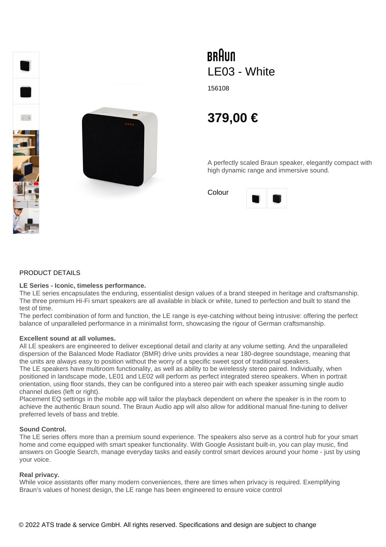

# BRAUN LE03 - White

156108

# **379,00 €**

A perfectly scaled Braun speaker, elegantly compact with high dynamic range and immersive sound.

Colour



#### PRODUCT DETAILS

#### **LE Series - Iconic, timeless performance.**

The LE series encapsulates the enduring, essentialist design values of a brand steeped in heritage and craftsmanship. The three premium Hi-Fi smart speakers are all available in black or white, tuned to perfection and built to stand the test of time.

The perfect combination of form and function, the LE range is eye-catching without being intrusive: offering the perfect balance of unparalleled performance in a minimalist form, showcasing the rigour of German craftsmanship.

# **Excellent sound at all volumes.**

All LE speakers are engineered to deliver exceptional detail and clarity at any volume setting. And the unparalleled dispersion of the Balanced Mode Radiator (BMR) drive units provides a near 180-degree soundstage, meaning that the units are always easy to position without the worry of a specific sweet spot of traditional speakers.

The LE speakers have multiroom functionality, as well as ability to be wirelessly stereo paired. Individually, when positioned in landscape mode, LE01 and LE02 will perform as perfect integrated stereo speakers. When in portrait orientation, using floor stands, they can be configured into a stereo pair with each speaker assuming single audio channel duties (left or right).

Placement EQ settings in the mobile app will tailor the playback dependent on where the speaker is in the room to achieve the authentic Braun sound. The Braun Audio app will also allow for additional manual fine-tuning to deliver preferred levels of bass and treble.

#### **Sound Control.**

The LE series offers more than a premium sound experience. The speakers also serve as a control hub for your smart home and come equipped with smart speaker functionality. With Google Assistant built-in, you can play music, find answers on Google Search, manage everyday tasks and easily control smart devices around your home - just by using your voice.

# **Real privacy.**

While voice assistants offer many modern conveniences, there are times when privacy is required. Exemplifying Braun's values of honest design, the LE range has been engineered to ensure voice control